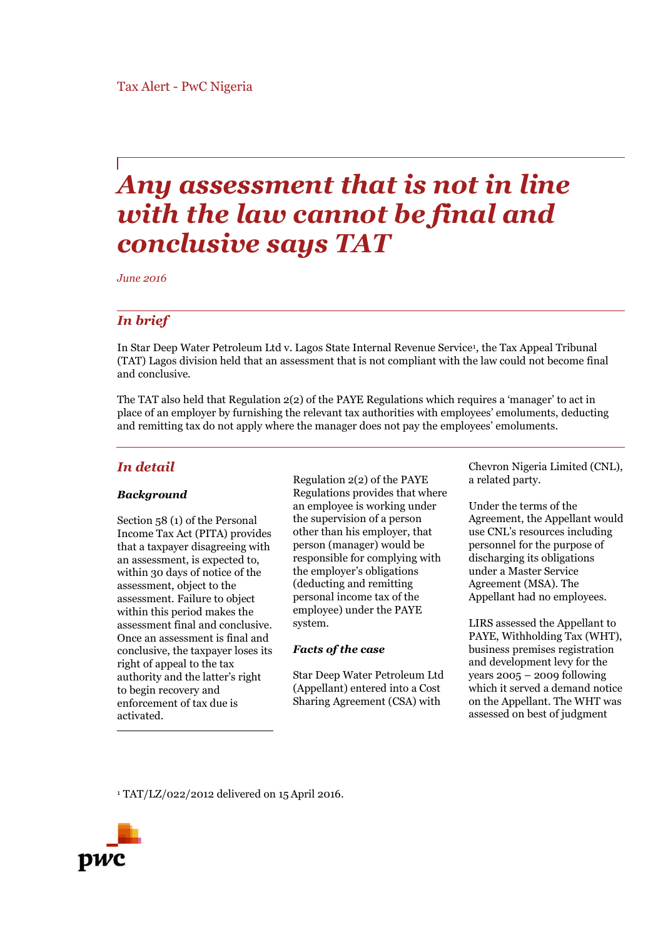# *Any assessment that is not in line with the law cannot be final and conclusive says TAT*

*June 2016*

### *In brief*

In Star Deep Water Petroleum Ltd v. Lagos State Internal Revenue Service<sup>1</sup>, the Tax Appeal Tribunal (TAT) Lagos division held that an assessment that is not compliant with the law could not become final and conclusive.

The TAT also held that Regulation 2(2) of the PAYE Regulations which requires a 'manager' to act in place of an employer by furnishing the relevant tax authorities with employees' emoluments, deducting and remitting tax do not apply where the manager does not pay the employees' emoluments.

## *In detail*

#### *Background*

Section 58 (1) of the Personal Income Tax Act (PITA) provides that a taxpayer disagreeing with an assessment, is expected to, within 30 days of notice of the assessment, object to the assessment. Failure to object within this period makes the assessment final and conclusive. Once an assessment is final and conclusive, the taxpayer loses its right of appeal to the tax authority and the latter's right to begin recovery and enforcement of tax due is activated.

Regulation 2(2) of the PAYE Regulations provides that where an employee is working under the supervision of a person other than his employer, that person (manager) would be responsible for complying with the employer's obligations (deducting and remitting personal income tax of the employee) under the PAYE system.

#### *Facts of the case*

Star Deep Water Petroleum Ltd (Appellant) entered into a Cost Sharing Agreement (CSA) with

Chevron Nigeria Limited (CNL), a related party.

Under the terms of the Agreement, the Appellant would use CNL's resources including personnel for the purpose of discharging its obligations under a Master Service Agreement (MSA). The Appellant had no employees.

LIRS assessed the Appellant to PAYE, Withholding Tax (WHT), business premises registration and development levy for the years  $2005 - 2009$  following which it served a demand notice on the Appellant. The WHT was assessed on best of judgment

<sup>1</sup> TAT/LZ/022/2012 delivered on 15April 2016.

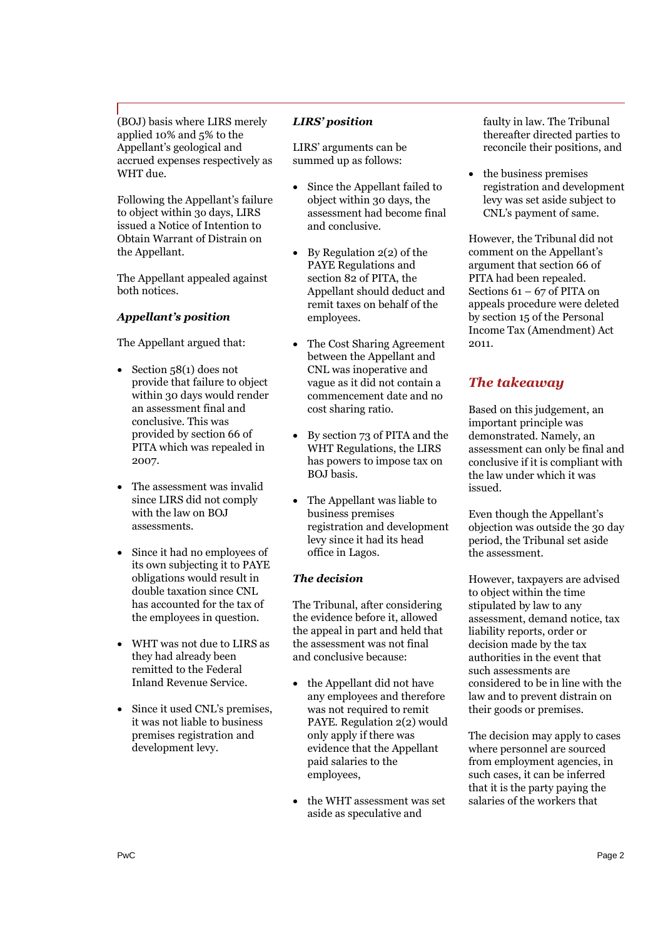(BOJ) basis where LIRS merely applied 10% and 5% to the Appellant's geological and accrued expenses respectively as WHT due.

Following the Appellant's failure to object within 3o days, LIRS issued a Notice of Intention to Obtain Warrant of Distrain on the Appellant.

The Appellant appealed against both notices.

### *Appellant's position*

The Appellant argued that:

- $\bullet$  Section 58(1) does not provide that failure to object within 30 days would render an assessment final and conclusive. This was provided by section 66 of PITA which was repealed in 2007.
- The assessment was invalid since LIRS did not comply with the law on BOJ assessments.
- Since it had no employees of its own subjecting it to PAYE obligations would result in double taxation since CNL has accounted for the tax of the employees in question.
- WHT was not due to LIRS as they had already been remitted to the Federal Inland Revenue Service.
- Since it used CNL's premises, it was not liable to business premises registration and development levy.

#### *LIRS' position*

LIRS' arguments can be summed up as follows:

- Since the Appellant failed to object within 30 days, the assessment had become final and conclusive.
- $\bullet$  By Regulation 2(2) of the PAYE Regulations and section 82 of PITA, the Appellant should deduct and remit taxes on behalf of the employees.
- The Cost Sharing Agreement between the Appellant and CNL was inoperative and vague as it did not contain a commencement date and no cost sharing ratio.
- By section 73 of PITA and the WHT Regulations, the LIRS has powers to impose tax on BOJ basis.
- The Appellant was liable to business premises registration and development levy since it had its head office in Lagos.

#### *The decision*

The Tribunal, after considering the evidence before it, allowed the appeal in part and held that the assessment was not final and conclusive because:

- the Appellant did not have any employees and therefore was not required to remit PAYE. Regulation 2(2) would only apply if there was evidence that the Appellant paid salaries to the employees,
- the WHT assessment was set aside as speculative and

faulty in law. The Tribunal thereafter directed parties to reconcile their positions, and

 the business premises registration and development levy was set aside subject to CNL's payment of same.

However, the Tribunal did not comment on the Appellant's argument that section 66 of PITA had been repealed. Sections 61 – 67 of PITA on appeals procedure were deleted by section 15 of the Personal Income Tax (Amendment) Act 2011.

# *The takeaway*

Based on this judgement, an important principle was demonstrated. Namely, an assessment can only be final and conclusive if it is compliant with the law under which it was issued.

Even though the Appellant's objection was outside the 30 day period, the Tribunal set aside the assessment.

However, taxpayers are advised to object within the time stipulated by law to any assessment, demand notice, tax liability reports, order or decision made by the tax authorities in the event that such assessments are considered to be in line with the law and to prevent distrain on their goods or premises.

The decision may apply to cases where personnel are sourced from employment agencies, in such cases, it can be inferred that it is the party paying the salaries of the workers that